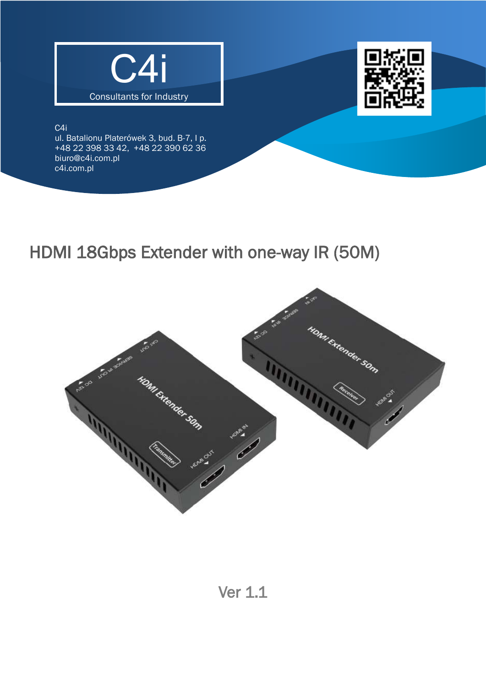



C4i

i<br>D

ul. Batalionu Platerówek 3, bud. B-7, I p. [+48 22 398 33 42,](tel:+48223983342) +48 22 390 62 36 [biuro@c4i.com.pl](mailto:biuro@c4i.com.pl) c4i.com.pl

# HDMI 18Gbps Extender with one-way IR (50M)

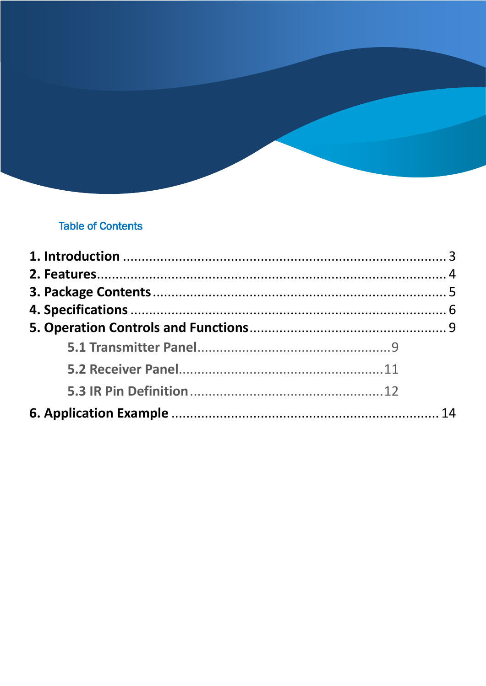### **Table of Contents**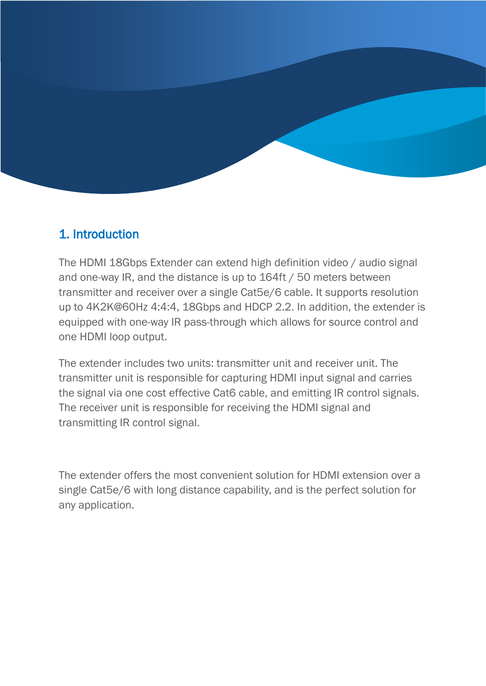

### <span id="page-2-0"></span>1. Introduction

The HDMI 18Gbps Extender can extend high definition video / audio signal and one-way IR, and the distance is up to 164ft / 50 meters between transmitter and receiver over a single Cat5e/6 cable. It supports resolution up to 4K2K@60Hz 4:4:4, 18Gbps and HDCP 2.2. In addition, the extender is equipped with one-way IR pass-through which allows for source control and one HDMI loop output.

The extender includes two units: transmitter unit and receiver unit. The transmitter unit is responsible for capturing HDMI input signal and carries the signal via one cost effective Cat6 cable, and emitting IR control signals. The receiver unit is responsible for receiving the HDMI signal and transmitting IR control signal.

The extender offers the most convenient solution for HDMI extension over a single Cat5e/6 with long distance capability, and is the perfect solution for any application.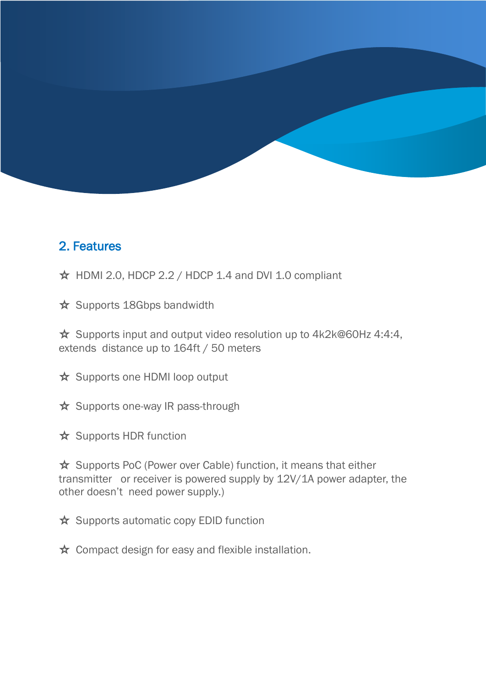### <span id="page-3-0"></span>2. Features

 $\star$  HDMI 2.0, HDCP 2.2 / HDCP 1.4 and DVI 1.0 compliant

☆ Supports 18Gbps bandwidth

☆ Supports input and output video resolution up to 4k2k@60Hz 4:4:4, extends distance up to 164ft / 50 meters

☆ Supports one HDMI loop output

☆ Supports one-way IR pass-through

☆ Supports HDR function

☆ Supports PoC (Power over Cable) function, it means that either transmitter or receiver is powered supply by 12V/1A power adapter, the other doesn't need power supply.)

☆ Supports automatic copy EDID function

☆ Compact design for easy and flexible installation.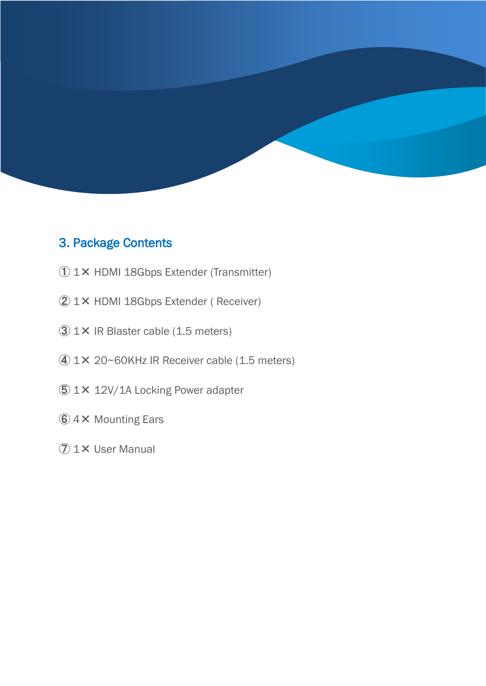

#### <span id="page-4-0"></span>3. Package Contents

- 1× HDMI 18Gbps Extender (Transmitter)
- 1× HDMI 18Gbps Extender ( Receiver)
- 1× IR Blaster cable (1.5 meters)
- 1× 20~60KHz IR Receiver cable (1.5 meters)
- 1× 12V/1A Locking Power adapter
- 4× Mounting Ears
- 1× User Manual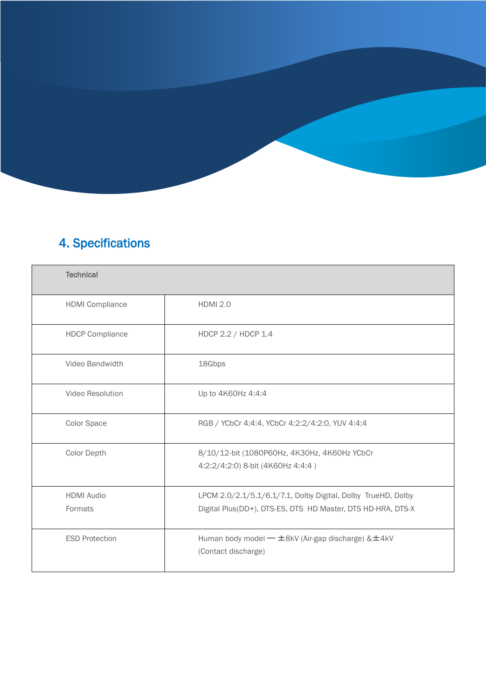## 4. Specifications

<span id="page-5-0"></span>

| <b>Technical</b>             |                                                                                                                             |
|------------------------------|-----------------------------------------------------------------------------------------------------------------------------|
| <b>HDMI</b> Compliance       | <b>HDMI 2.0</b>                                                                                                             |
| <b>HDCP Compliance</b>       | HDCP 2.2 / HDCP 1.4                                                                                                         |
| Video Bandwidth              | 18Gbps                                                                                                                      |
| Video Resolution             | Up to 4K60Hz 4:4:4                                                                                                          |
| Color Space                  | RGB / YCbCr 4:4:4, YCbCr 4:2:2/4:2:0, YUV 4:4:4                                                                             |
| <b>Color Depth</b>           | 8/10/12-bit (1080P60Hz, 4K30Hz, 4K60Hz YCbCr<br>4:2:2/4:2:0) 8-bit (4K60Hz 4:4:4)                                           |
| <b>HDMI</b> Audio<br>Formats | LPCM 2.0/2.1/5.1/6.1/7.1, Dolby Digital, Dolby TrueHD, Dolby<br>Digital Plus(DD+), DTS-ES, DTS HD Master, DTS HD-HRA, DTS-X |
| <b>ESD Protection</b>        | Human body model — ±8kV (Air-gap discharge) & ±4kV<br>(Contact discharge)                                                   |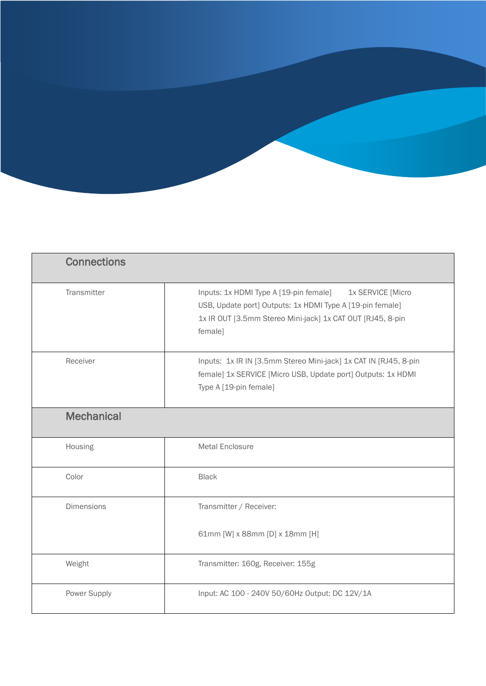| <b>Connections</b> |                                                                                                                                                                                                   |
|--------------------|---------------------------------------------------------------------------------------------------------------------------------------------------------------------------------------------------|
| Transmitter        | Inputs: 1x HDMI Type A [19-pin female]<br>1x SERVICE [Micro<br>USB, Update port] Outputs: 1x HDMI Type A [19-pin female]<br>1x IR OUT [3.5mm Stereo Mini-jack] 1x CAT OUT [RJ45, 8-pin<br>female] |
| Receiver           | Inputs: 1x IR IN [3.5mm Stereo Mini-jack] 1x CAT IN [RJ45, 8-pin]<br>female] 1x SERVICE [Micro USB, Update port] Outputs: 1x HDMI<br>Type A [19-pin female]                                       |
| <b>Mechanical</b>  |                                                                                                                                                                                                   |
| Housing            | <b>Metal Enclosure</b>                                                                                                                                                                            |
| Color              | <b>Black</b>                                                                                                                                                                                      |
| <b>Dimensions</b>  | Transmitter / Receiver:                                                                                                                                                                           |
|                    | 61mm [W] x 88mm [D] x 18mm [H]                                                                                                                                                                    |
| Weight             | Transmitter: 160g, Receiver: 155g                                                                                                                                                                 |
| Power Supply       | Input: AC 100 - 240V 50/60Hz Output: DC 12V/1A                                                                                                                                                    |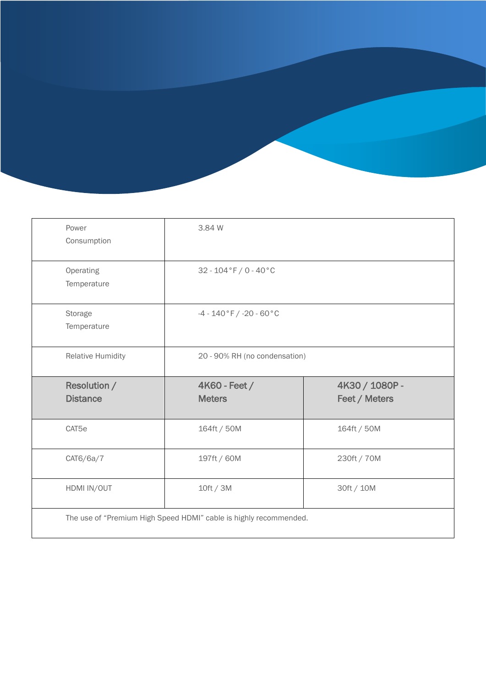| Power<br>Consumption                   | 3.84 W                         |                |
|----------------------------------------|--------------------------------|----------------|
| Operating<br>Temperature               | $32 - 104 °F / 0 - 40 °C$      |                |
| Storage<br>Temperature                 | $-4 - 140 °F / -20 - 60 °C$    |                |
| <b>Relative Humidity</b>               | 20 - 90% RH (no condensation)  |                |
|                                        |                                | 4K30 / 1080P - |
| <b>Resolution /</b><br><b>Distance</b> | 4K60 - Feet /<br><b>Meters</b> | Feet / Meters  |
| CAT5e                                  | 164ft / 50M                    | 164ft / 50M    |
| CAT6/6a/7                              | 197ft / 60M                    | 230ft / 70M    |
| HDMI IN/OUT                            | 10ft / 3M                      | 30ft / 10M     |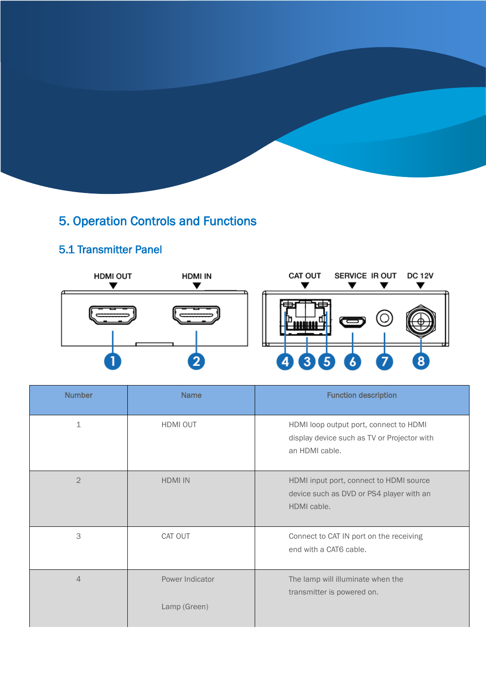### <span id="page-8-0"></span>5. Operation Controls and Functions

### 5.1 Transmitter Panel

í

<span id="page-8-1"></span>

| <b>Number</b>  | <b>Name</b>     | <b>Function description</b>                                                                             |
|----------------|-----------------|---------------------------------------------------------------------------------------------------------|
| $\perp$        | HDMI OUT        | HDMI loop output port, connect to HDMI<br>display device such as TV or Projector with<br>an HDMI cable. |
| $\overline{2}$ | <b>HDMI IN</b>  | HDMI input port, connect to HDMI source<br>device such as DVD or PS4 player with an<br>HDMI cable.      |
| 3              | CAT OUT         | Connect to CAT IN port on the receiving<br>end with a CAT6 cable.                                       |
| $\overline{4}$ | Power Indicator | The lamp will illuminate when the<br>transmitter is powered on.                                         |
|                | Lamp (Green)    |                                                                                                         |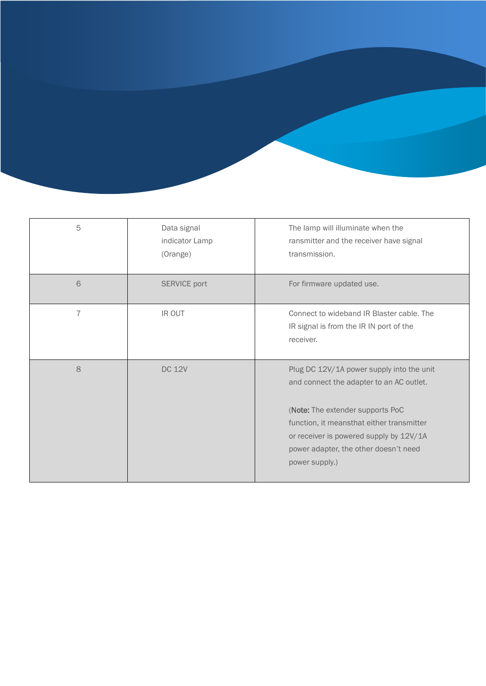| 5              | Data signal<br>indicator Lamp<br>(Orange) | The lamp will illuminate when the<br>ransmitter and the receiver have signal<br>transmission.                                                                                                                                                              |
|----------------|-------------------------------------------|------------------------------------------------------------------------------------------------------------------------------------------------------------------------------------------------------------------------------------------------------------|
| 6              | <b>SERVICE port</b>                       | For firmware updated use.                                                                                                                                                                                                                                  |
| $\overline{7}$ | IR OUT                                    | Connect to wideband IR Blaster cable. The<br>IR signal is from the IR IN port of the<br>receiver.                                                                                                                                                          |
| 8              | <b>DC 12V</b>                             | Plug DC 12V/1A power supply into the unit<br>and connect the adapter to an AC outlet.<br>(Note: The extender supports PoC<br>function, it meansthat either transmitter<br>or receiver is powered supply by 12V/1A<br>power adapter, the other doesn't need |
|                |                                           | power supply.)                                                                                                                                                                                                                                             |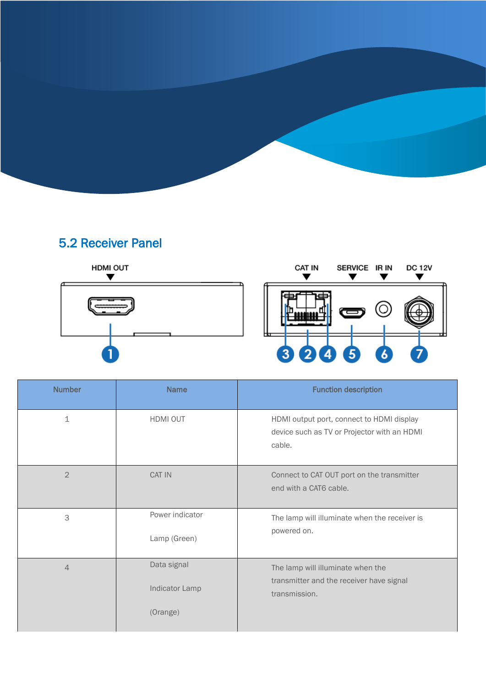### 5.2 Receiver Panel

<span id="page-10-0"></span>

| <b>Number</b>  | <b>Name</b>                               | <b>Function description</b>                                                                        |
|----------------|-------------------------------------------|----------------------------------------------------------------------------------------------------|
| $\perp$        | HDMI OUT                                  | HDMI output port, connect to HDMI display<br>device such as TV or Projector with an HDMI<br>cable. |
| $\overline{2}$ | CAT IN                                    | Connect to CAT OUT port on the transmitter<br>end with a CAT6 cable.                               |
| 3              | Power indicator<br>Lamp (Green)           | The lamp will illuminate when the receiver is<br>powered on.                                       |
| $\overline{4}$ | Data signal<br>Indicator Lamp<br>(Orange) | The lamp will illuminate when the<br>transmitter and the receiver have signal<br>transmission.     |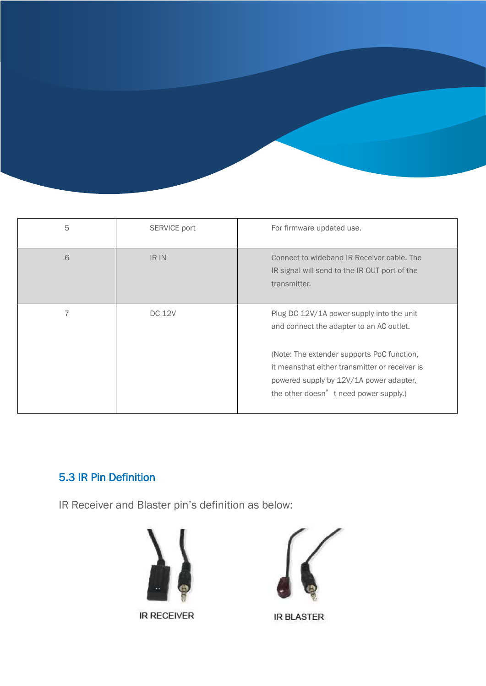| 5 | SERVICE port  | For firmware updated use.                                                                                                                                                                                                                                                  |
|---|---------------|----------------------------------------------------------------------------------------------------------------------------------------------------------------------------------------------------------------------------------------------------------------------------|
| 6 | IR IN         | Connect to wideband IR Receiver cable. The<br>IR signal will send to the IR OUT port of the<br>transmitter.                                                                                                                                                                |
| 7 | <b>DC 12V</b> | Plug DC 12V/1A power supply into the unit<br>and connect the adapter to an AC outlet.<br>(Note: The extender supports PoC function,<br>it meansthat either transmitter or receiver is<br>powered supply by 12V/1A power adapter,<br>the other doesn' t need power supply.) |

### <span id="page-11-0"></span>5.3 IR Pin Definition

IR Receiver and Blaster pin's definition as below:



**IR RECEIVER** 



**IR BLASTER**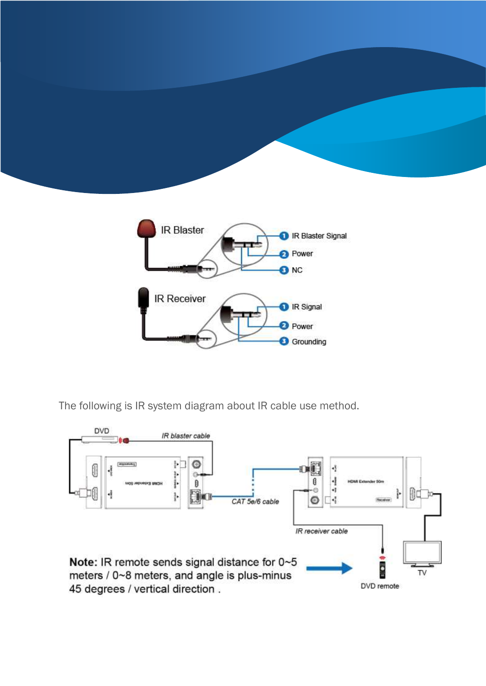



The following is IR system diagram about IR cable use method.